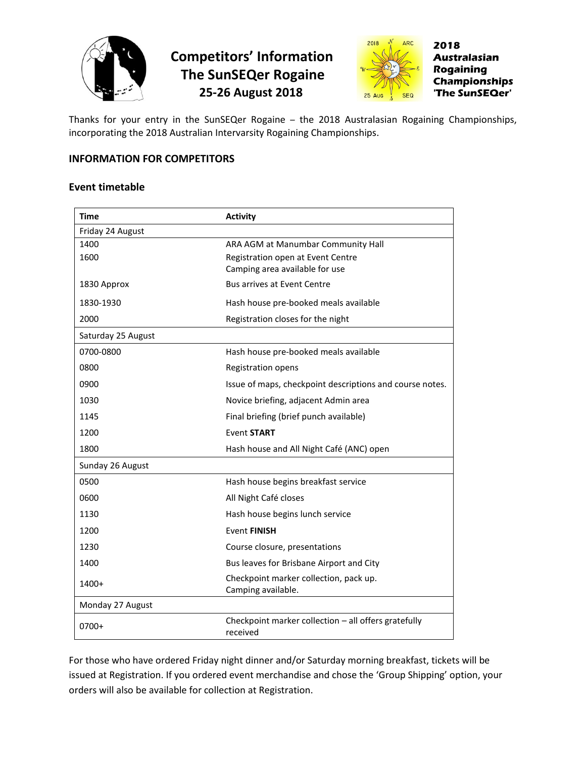



Thanks for your entry in the SunSEQer Rogaine – the 2018 Australasian Rogaining Championships, incorporating the 2018 Australian Intervarsity Rogaining Championships.

## **INFORMATION FOR COMPETITORS**

### **Event timetable**

| Time               | <b>Activity</b>                                                  |
|--------------------|------------------------------------------------------------------|
| Friday 24 August   |                                                                  |
| 1400               | ARA AGM at Manumbar Community Hall                               |
| 1600               | Registration open at Event Centre                                |
|                    | Camping area available for use                                   |
| 1830 Approx        | <b>Bus arrives at Event Centre</b>                               |
| 1830-1930          | Hash house pre-booked meals available                            |
| 2000               | Registration closes for the night                                |
| Saturday 25 August |                                                                  |
| 0700-0800          | Hash house pre-booked meals available                            |
| 0800               | Registration opens                                               |
| 0900               | Issue of maps, checkpoint descriptions and course notes.         |
| 1030               | Novice briefing, adjacent Admin area                             |
| 1145               | Final briefing (brief punch available)                           |
| 1200               | <b>Event START</b>                                               |
| 1800               | Hash house and All Night Café (ANC) open                         |
| Sunday 26 August   |                                                                  |
| 0500               | Hash house begins breakfast service                              |
| 0600               | All Night Café closes                                            |
| 1130               | Hash house begins lunch service                                  |
| 1200               | <b>Event FINISH</b>                                              |
| 1230               | Course closure, presentations                                    |
| 1400               | Bus leaves for Brisbane Airport and City                         |
| 1400+              | Checkpoint marker collection, pack up.<br>Camping available.     |
| Monday 27 August   |                                                                  |
| 0700+              | Checkpoint marker collection - all offers gratefully<br>received |

For those who have ordered Friday night dinner and/or Saturday morning breakfast, tickets will be issued at Registration. If you ordered event merchandise and chose the 'Group Shipping' option, your orders will also be available for collection at Registration.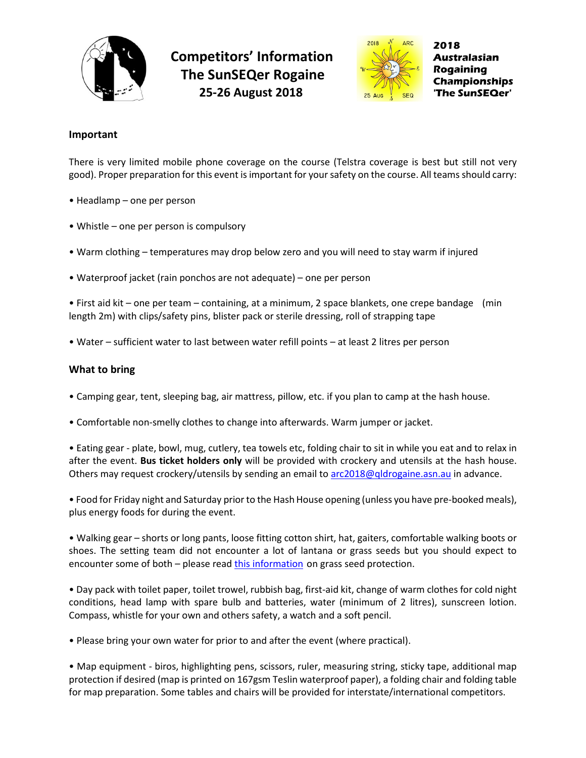



#### **Important**

There is very limited mobile phone coverage on the course (Telstra coverage is best but still not very good). Proper preparation for this event is important for your safety on the course. All teams should carry:

- Headlamp one per person
- Whistle one per person is compulsory
- Warm clothing temperatures may drop below zero and you will need to stay warm if injured
- Waterproof jacket (rain ponchos are not adequate) one per person

• First aid kit – one per team – containing, at a minimum, 2 space blankets, one crepe bandage (min length 2m) with clips/safety pins, blister pack or sterile dressing, roll of strapping tape

• Water – sufficient water to last between water refill points – at least 2 litres per person

#### **What to bring**

- Camping gear, tent, sleeping bag, air mattress, pillow, etc. if you plan to camp at the hash house.
- Comfortable non-smelly clothes to change into afterwards. Warm jumper or jacket.

• Eating gear - plate, bowl, mug, cutlery, tea towels etc, folding chair to sit in while you eat and to relax in after the event. **Bus ticket holders only** will be provided with crockery and utensils at the hash house. Others may request crockery/utensils by sending an email t[o arc2018@qldrogaine.asn.au](mailto:arc2018@qldrogaine.asn.au) in advance.

• Food for Friday night and Saturday prior to the Hash House opening (unless you have pre-booked meals), plus energy foods for during the event.

• Walking gear – shorts or long pants, loose fitting cotton shirt, hat, gaiters, comfortable walking boots or shoes. The setting team did not encounter a lot of lantana or grass seeds but you should expect to encounter some of both – please read [this information](http://www.qldrogaine.asn.au/qraonline/html/wp/wp-content/uploads/2018/05/Protect-Yourself-from-Grass-Seeds.pdf) on grass seed protection.

• Day pack with toilet paper, toilet trowel, rubbish bag, first-aid kit, change of warm clothes for cold night conditions, head lamp with spare bulb and batteries, water (minimum of 2 litres), sunscreen lotion. Compass, whistle for your own and others safety, a watch and a soft pencil.

• Please bring your own water for prior to and after the event (where practical).

• Map equipment - biros, highlighting pens, scissors, ruler, measuring string, sticky tape, additional map protection if desired (map is printed on 167gsm Teslin waterproof paper), a folding chair and folding table for map preparation. Some tables and chairs will be provided for interstate/international competitors.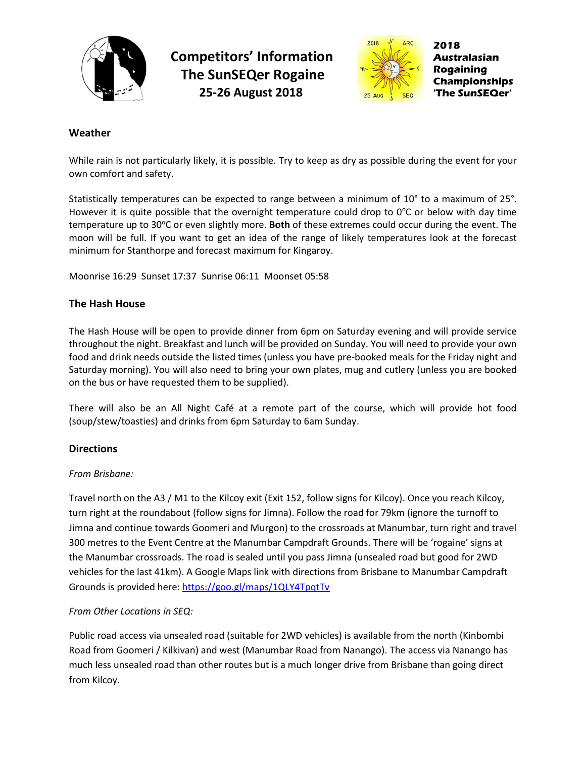



### **Weather**

While rain is not particularly likely, it is possible. Try to keep as dry as possible during the event for your own comfort and safety.

Statistically temperatures can be expected to range between a minimum of 10° to a maximum of 25°. However it is quite possible that the overnight temperature could drop to  $0^{\circ}$ C or below with day time temperature up to 30°C or even slightly more. **Both** of these extremes could occur during the event. The moon will be full. If you want to get an idea of the range of likely temperatures look at the forecast minimum for Stanthorpe and forecast maximum for Kingaroy.

Moonrise 16:29 Sunset 17:37 Sunrise 06:11 Moonset 05:58

### **The Hash House**

The Hash House will be open to provide dinner from 6pm on Saturday evening and will provide service throughout the night. Breakfast and lunch will be provided on Sunday. You will need to provide your own food and drink needs outside the listed times (unless you have pre-booked meals for the Friday night and Saturday morning). You will also need to bring your own plates, mug and cutlery (unless you are booked on the bus or have requested them to be supplied).

There will also be an All Night Café at a remote part of the course, which will provide hot food (soup/stew/toasties) and drinks from 6pm Saturday to 6am Sunday.

#### **Directions**

#### *From Brisbane:*

Travel north on the A3 / M1 to the Kilcoy exit (Exit 152, follow signs for Kilcoy). Once you reach Kilcoy, turn right at the roundabout (follow signs for Jimna). Follow the road for 79km (ignore the turnoff to Jimna and continue towards Goomeri and Murgon) to the crossroads at Manumbar, turn right and travel 300 metres to the Event Centre at the Manumbar Campdraft Grounds. There will be 'rogaine' signs at the Manumbar crossroads. The road is sealed until you pass Jimna (unsealed road but good for 2WD vehicles for the last 41km). A Google Maps link with directions from Brisbane to Manumbar Campdraft Grounds is provided here: <https://goo.gl/maps/1QLY4TpqtTv>

### *From Other Locations in SEQ:*

Public road access via unsealed road (suitable for 2WD vehicles) is available from the north (Kinbombi Road from Goomeri / Kilkivan) and west (Manumbar Road from Nanango). The access via Nanango has much less unsealed road than other routes but is a much longer drive from Brisbane than going direct from Kilcoy.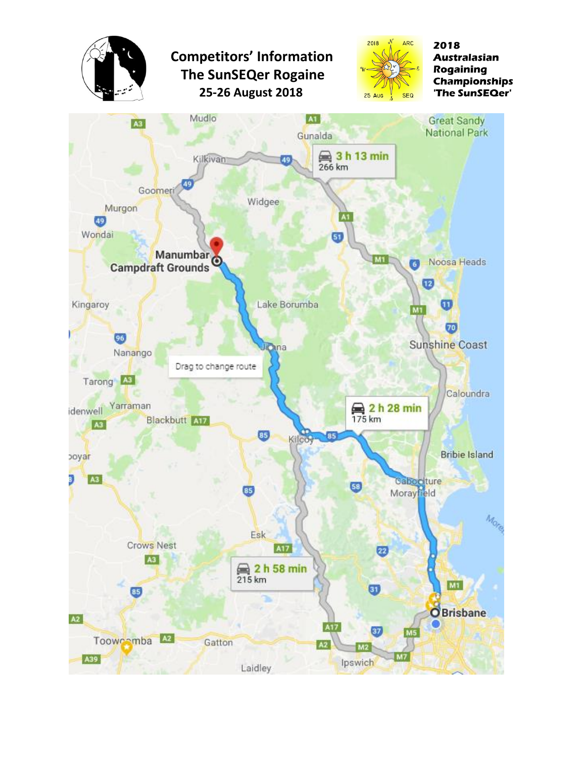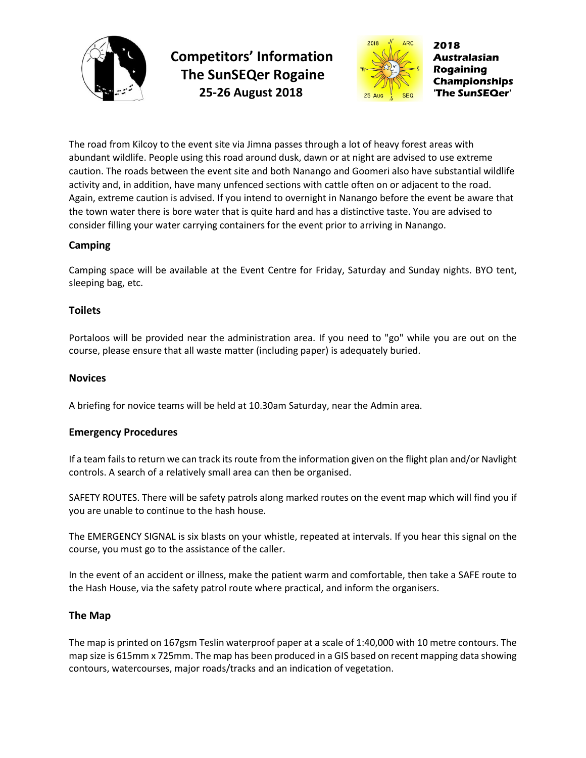



2018 Australasian **Rogaining Championships The SunSEQer'** 

The road from Kilcoy to the event site via Jimna passes through a lot of heavy forest areas with abundant wildlife. People using this road around dusk, dawn or at night are advised to use extreme caution. The roads between the event site and both Nanango and Goomeri also have substantial wildlife activity and, in addition, have many unfenced sections with cattle often on or adjacent to the road. Again, extreme caution is advised. If you intend to overnight in Nanango before the event be aware that the town water there is bore water that is quite hard and has a distinctive taste. You are advised to consider filling your water carrying containers for the event prior to arriving in Nanango.

## **Camping**

Camping space will be available at the Event Centre for Friday, Saturday and Sunday nights. BYO tent, sleeping bag, etc.

## **Toilets**

Portaloos will be provided near the administration area. If you need to "go" while you are out on the course, please ensure that all waste matter (including paper) is adequately buried.

## **Novices**

A briefing for novice teams will be held at 10.30am Saturday, near the Admin area.

### **Emergency Procedures**

If a team fails to return we can track its route from the information given on the flight plan and/or Navlight controls. A search of a relatively small area can then be organised.

SAFETY ROUTES. There will be safety patrols along marked routes on the event map which will find you if you are unable to continue to the hash house.

The EMERGENCY SIGNAL is six blasts on your whistle, repeated at intervals. If you hear this signal on the course, you must go to the assistance of the caller.

In the event of an accident or illness, make the patient warm and comfortable, then take a SAFE route to the Hash House, via the safety patrol route where practical, and inform the organisers.

### **The Map**

The map is printed on 167gsm Teslin waterproof paper at a scale of 1:40,000 with 10 metre contours. The map size is 615mm x 725mm. The map has been produced in a GIS based on recent mapping data showing contours, watercourses, major roads/tracks and an indication of vegetation.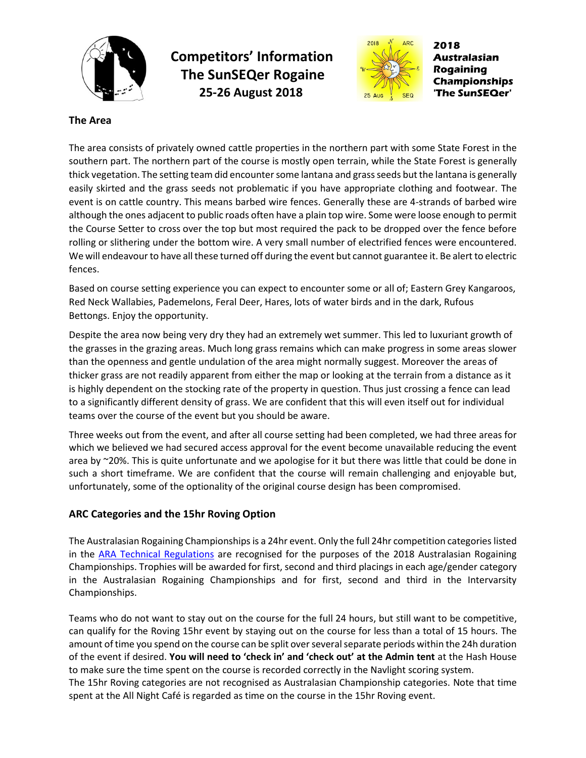



2018 Australasian **Rogaining Championships** 'The SunSEQer'

### **The Area**

The area consists of privately owned cattle properties in the northern part with some State Forest in the southern part. The northern part of the course is mostly open terrain, while the State Forest is generally thick vegetation. The setting team did encounter some lantana and grass seeds but the lantana is generally easily skirted and the grass seeds not problematic if you have appropriate clothing and footwear. The event is on cattle country. This means barbed wire fences. Generally these are 4-strands of barbed wire although the ones adjacent to public roads often have a plain top wire. Some were loose enough to permit the Course Setter to cross over the top but most required the pack to be dropped over the fence before rolling or slithering under the bottom wire. A very small number of electrified fences were encountered. We will endeavour to have all these turned off during the event but cannot guarantee it. Be alert to electric fences.

Based on course setting experience you can expect to encounter some or all of; Eastern Grey Kangaroos, Red Neck Wallabies, Pademelons, Feral Deer, Hares, lots of water birds and in the dark, Rufous Bettongs. Enjoy the opportunity.

Despite the area now being very dry they had an extremely wet summer. This led to luxuriant growth of the grasses in the grazing areas. Much long grass remains which can make progress in some areas slower than the openness and gentle undulation of the area might normally suggest. Moreover the areas of thicker grass are not readily apparent from either the map or looking at the terrain from a distance as it is highly dependent on the stocking rate of the property in question. Thus just crossing a fence can lead to a significantly different density of grass. We are confident that this will even itself out for individual teams over the course of the event but you should be aware.

Three weeks out from the event, and after all course setting had been completed, we had three areas for which we believed we had secured access approval for the event become unavailable reducing the event area by  $\sim$ 20%. This is quite unfortunate and we apologise for it but there was little that could be done in such a short timeframe. We are confident that the course will remain challenging and enjoyable but, unfortunately, some of the optionality of the original course design has been compromised.

### **ARC Categories and the 15hr Roving Option**

The Australasian Rogaining Championships is a 24hr event. Only the full 24hr competition categories listed in the [ARA Technical Regulations](https://rogaine.asn.au/rules-and-standards/technical/rules-and-standards/rules-of-rogaining-and-technical-regulations-2012) are recognised for the purposes of the 2018 Australasian Rogaining Championships. Trophies will be awarded for first, second and third placings in each age/gender category in the Australasian Rogaining Championships and for first, second and third in the Intervarsity Championships.

Teams who do not want to stay out on the course for the full 24 hours, but still want to be competitive, can qualify for the Roving 15hr event by staying out on the course for less than a total of 15 hours. The amount of time you spend on the course can be split over several separate periods within the 24h duration of the event if desired. **You will need to 'check in' and 'check out' at the Admin tent** at the Hash House to make sure the time spent on the course is recorded correctly in the Navlight scoring system. The 15hr Roving categories are not recognised as Australasian Championship categories. Note that time spent at the All Night Café is regarded as time on the course in the 15hr Roving event.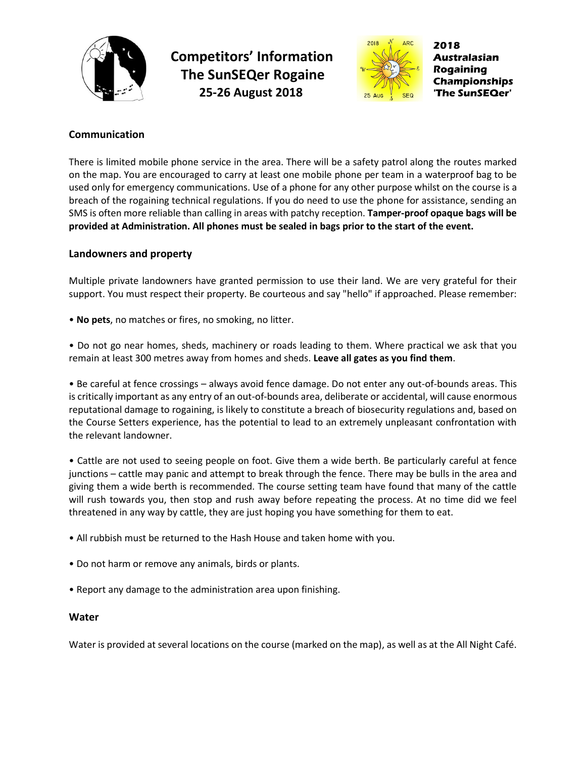



2018 Australasian **Rogaining Championships** 'The SunSEQer'

## **Communication**

There is limited mobile phone service in the area. There will be a safety patrol along the routes marked on the map. You are encouraged to carry at least one mobile phone per team in a waterproof bag to be used only for emergency communications. Use of a phone for any other purpose whilst on the course is a breach of the rogaining technical regulations. If you do need to use the phone for assistance, sending an SMS is often more reliable than calling in areas with patchy reception. **Tamper-proof opaque bags will be provided at Administration. All phones must be sealed in bags prior to the start of the event.**

### **Landowners and property**

Multiple private landowners have granted permission to use their land. We are very grateful for their support. You must respect their property. Be courteous and say "hello" if approached. Please remember:

• **No pets**, no matches or fires, no smoking, no litter.

• Do not go near homes, sheds, machinery or roads leading to them. Where practical we ask that you remain at least 300 metres away from homes and sheds. **Leave all gates as you find them**.

• Be careful at fence crossings – always avoid fence damage. Do not enter any out-of-bounds areas. This is critically important as any entry of an out-of-bounds area, deliberate or accidental, will cause enormous reputational damage to rogaining, is likely to constitute a breach of biosecurity regulations and, based on the Course Setters experience, has the potential to lead to an extremely unpleasant confrontation with the relevant landowner.

• Cattle are not used to seeing people on foot. Give them a wide berth. Be particularly careful at fence junctions – cattle may panic and attempt to break through the fence. There may be bulls in the area and giving them a wide berth is recommended. The course setting team have found that many of the cattle will rush towards you, then stop and rush away before repeating the process. At no time did we feel threatened in any way by cattle, they are just hoping you have something for them to eat.

- All rubbish must be returned to the Hash House and taken home with you.
- Do not harm or remove any animals, birds or plants.
- Report any damage to the administration area upon finishing.

#### **Water**

Water is provided at several locations on the course (marked on the map), as well as at the All Night Café.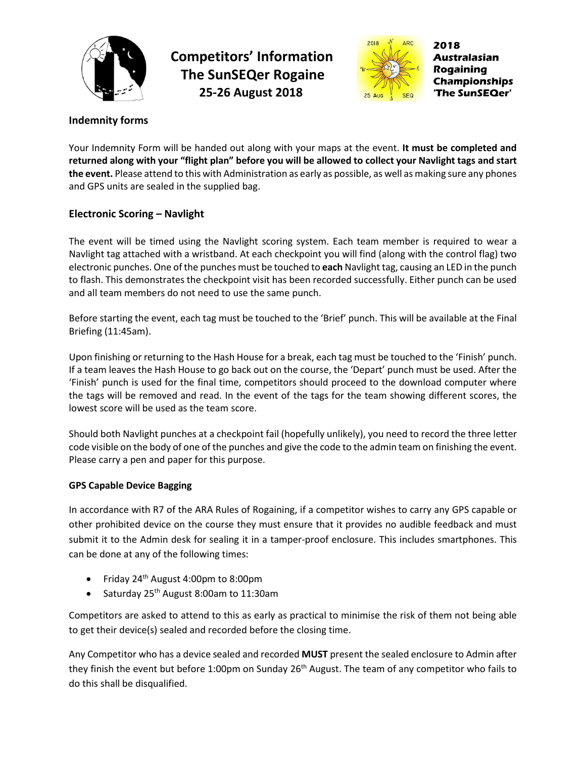



2018 Australasian **Rogaining Championships The SunSEQer'** 

# **Indemnity forms**

Your Indemnity Form will be handed out along with your maps at the event. **It must be completed and returned along with your "flight plan" before you will be allowed to collect your Navlight tags and start the event.** Please attend to this with Administration as early as possible, as well as making sure any phones and GPS units are sealed in the supplied bag.

## **Electronic Scoring – Navlight**

The event will be timed using the Navlight scoring system. Each team member is required to wear a Navlight tag attached with a wristband. At each checkpoint you will find (along with the control flag) two electronic punches. One of the punches must be touched to **each** Navlight tag, causing an LED in the punch to flash. This demonstrates the checkpoint visit has been recorded successfully. Either punch can be used and all team members do not need to use the same punch.

Before starting the event, each tag must be touched to the 'Brief' punch. This will be available at the Final Briefing (11:45am).

Upon finishing or returning to the Hash House for a break, each tag must be touched to the 'Finish' punch. If a team leaves the Hash House to go back out on the course, the 'Depart' punch must be used. After the 'Finish' punch is used for the final time, competitors should proceed to the download computer where the tags will be removed and read. In the event of the tags for the team showing different scores, the lowest score will be used as the team score.

Should both Navlight punches at a checkpoint fail (hopefully unlikely), you need to record the three letter code visible on the body of one of the punches and give the code to the admin team on finishing the event. Please carry a pen and paper for this purpose.

### **GPS Capable Device Bagging**

In accordance with R7 of the ARA Rules of Rogaining, if a competitor wishes to carry any GPS capable or other prohibited device on the course they must ensure that it provides no audible feedback and must submit it to the Admin desk for sealing it in a tamper-proof enclosure. This includes smartphones. This can be done at any of the following times:

- Friday 24<sup>th</sup> August 4:00pm to 8:00pm
- Saturday 25<sup>th</sup> August 8:00am to 11:30am

Competitors are asked to attend to this as early as practical to minimise the risk of them not being able to get their device(s) sealed and recorded before the closing time.

Any Competitor who has a device sealed and recorded **MUST** present the sealed enclosure to Admin after they finish the event but before 1:00pm on Sunday 26<sup>th</sup> August. The team of any competitor who fails to do this shall be disqualified.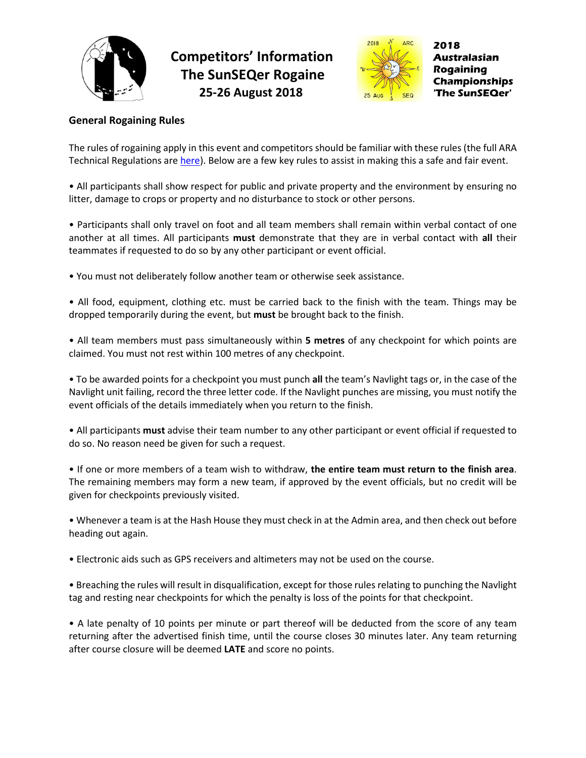



## **General Rogaining Rules**

The rules of rogaining apply in this event and competitors should be familiar with these rules (the full ARA Technical Regulations are [here\)](https://rogaine.asn.au/rules-and-standards/technical/rules-and-standards/rules-of-rogaining-and-technical-regulations-2012). Below are a few key rules to assist in making this a safe and fair event.

• All participants shall show respect for public and private property and the environment by ensuring no litter, damage to crops or property and no disturbance to stock or other persons.

• Participants shall only travel on foot and all team members shall remain within verbal contact of one another at all times. All participants **must** demonstrate that they are in verbal contact with **all** their teammates if requested to do so by any other participant or event official.

• You must not deliberately follow another team or otherwise seek assistance.

• All food, equipment, clothing etc. must be carried back to the finish with the team. Things may be dropped temporarily during the event, but **must** be brought back to the finish.

• All team members must pass simultaneously within **5 metres** of any checkpoint for which points are claimed. You must not rest within 100 metres of any checkpoint.

• To be awarded points for a checkpoint you must punch **all** the team's Navlight tags or, in the case of the Navlight unit failing, record the three letter code. If the Navlight punches are missing, you must notify the event officials of the details immediately when you return to the finish.

• All participants **must** advise their team number to any other participant or event official if requested to do so. No reason need be given for such a request.

• If one or more members of a team wish to withdraw, **the entire team must return to the finish area**. The remaining members may form a new team, if approved by the event officials, but no credit will be given for checkpoints previously visited.

• Whenever a team is at the Hash House they must check in at the Admin area, and then check out before heading out again.

• Electronic aids such as GPS receivers and altimeters may not be used on the course.

• Breaching the rules will result in disqualification, except for those rules relating to punching the Navlight tag and resting near checkpoints for which the penalty is loss of the points for that checkpoint.

• A late penalty of 10 points per minute or part thereof will be deducted from the score of any team returning after the advertised finish time, until the course closes 30 minutes later. Any team returning after course closure will be deemed **LATE** and score no points.